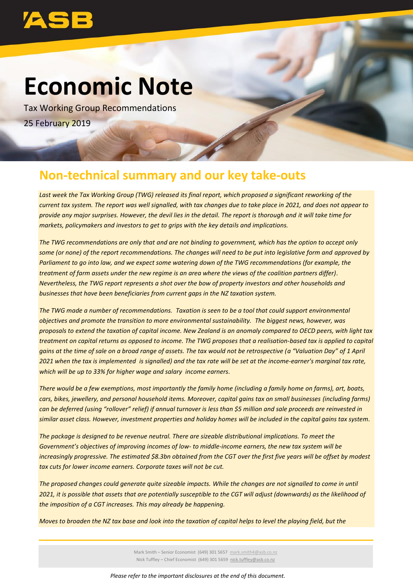

# **Economic Note**

Tax Working Group Recommendations 25 February 2019

# **Non-technical summary and our key take-outs**

*Last week the Tax Working Group (TWG) released its final report, which proposed a significant reworking of the current tax system. The report was well signalled, with tax changes due to take place in 2021, and does not appear to provide any major surprises. However, the devil lies in the detail. The report is thorough and it will take time for markets, policymakers and investors to get to grips with the key details and implications.*

*The TWG recommendations are only that and are not binding to government, which has the option to accept only some (or none) of the report recommendations. The changes will need to be put into legislative form and approved by Parliament to go into law, and we expect some watering down of the TWG recommendations (for example, the treatment of farm assets under the new regime is an area where the views of the coalition partners differ). Nevertheless, the TWG report represents a shot over the bow of property investors and other households and businesses that have been beneficiaries from current gaps in the NZ taxation system.* 

*The TWG made a number of recommendations. Taxation is seen to be a tool that could support environmental objectives and promote the transition to more environmental sustainability. The biggest news, however, was proposals to extend the taxation of capital income. New Zealand is an anomaly compared to OECD peers, with light tax treatment on capital returns as opposed to income. The TWG proposes that a realisation-based tax is applied to capital gains at the time of sale on a broad range of assets. The tax would not be retrospective (a "Valuation Day" of 1 April 2021 when the tax is implemented is signalled) and the tax rate will be set at the income-earner's marginal tax rate, which will be up to 33% for higher wage and salary income earners.*

*There would be a few exemptions, most importantly the family home (including a family home on farms), art, boats, cars, bikes, jewellery, and personal household items. Moreover, capital gains tax on small businesses (including farms) can be deferred (using "rollover" relief) if annual turnover is less than \$5 million and sale proceeds are reinvested in similar asset class. However, investment properties and holiday homes will be included in the capital gains tax system.* 

*The package is designed to be revenue neutral. There are sizeable distributional implications. To meet the Government's objectives of improving incomes of low- to middle-income earners, the new tax system will be increasingly progressive. The estimated \$8.3bn obtained from the CGT over the first five years will be offset by modest tax cuts for lower income earners. Corporate taxes will not be cut.*

*The proposed changes could generate quite sizeable impacts. While the changes are not signalled to come in until 2021, it is possible that assets that are potentially susceptible to the CGT will adjust (downwards) as the likelihood of the imposition of a CGT increases. This may already be happening.*

*Moves to broaden the NZ tax base and look into the taxation of capital helps to level the playing field, but the* 

Mark Smith – Senior Economist (649) 301 5657 [mark.smith4@asb.co.nz](mailto:mark.smith4@asb.co.nz) Nick Tuffley – Chief Economist (649) 301 5659 nick.tuffley@asb.co.nz

*Please refer to the important disclosures at the end of this document.*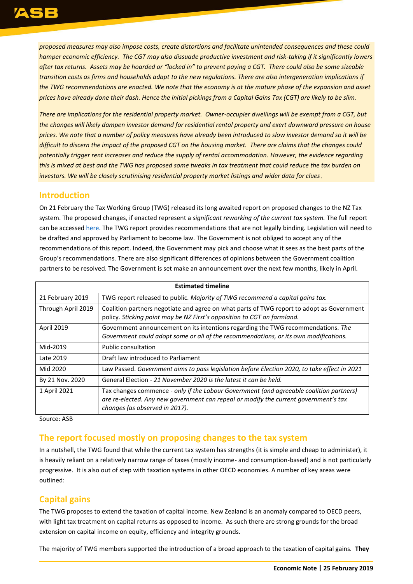*proposed measures may also impose costs, create distortions and facilitate unintended consequences and these could hamper economic efficiency. The CGT may also dissuade productive investment and risk-taking if it significantly lowers after tax returns. Assets may be hoarded or "locked in" to prevent paying a CGT. There could also be some sizeable transition costs as firms and households adapt to the new regulations. There are also intergeneration implications if the TWG recommendations are enacted. We note that the economy is at the mature phase of the expansion and asset prices have already done their dash. Hence the initial pickings from a Capital Gains Tax (CGT) are likely to be slim.* 

*There are implications for the residential property market. Owner-occupier dwellings will be exempt from a CGT, but the changes will likely dampen investor demand for residential rental property and exert downward pressure on house prices. We note that a number of policy measures have already been introduced to slow investor demand so it will be difficult to discern the impact of the proposed CGT on the housing market. There are claims that the changes could potentially trigger rent increases and reduce the supply of rental accommodation. However, the evidence regarding this is mixed at best and the TWG has proposed some tweaks in tax treatment that could reduce the tax burden on investors. We will be closely scrutinising residential property market listings and wider data for clues*.

#### **Introduction**

On 21 February the Tax Working Group (TWG) released its long awaited report on proposed changes to the NZ Tax system. The proposed changes, if enacted represent a *significant reworking of the current tax system.* The full report can be accessed [here.](https://taxworkinggroup.govt.nz/sites/default/files/2019-02/twg-final-report-voli-feb19.pdf) The TWG report provides recommendations that are not legally binding. Legislation will need to be drafted and approved by Parliament to become law. The Government is not obliged to accept any of the recommendations of this report. Indeed, the Government may pick and choose what it sees as the best parts of the Group's recommendations. There are also significant differences of opinions between the Government coalition partners to be resolved. The Government is set make an announcement over the next few months, likely in April.

| <b>Estimated timeline</b> |                                                                                                                                                                                                                   |  |  |  |
|---------------------------|-------------------------------------------------------------------------------------------------------------------------------------------------------------------------------------------------------------------|--|--|--|
| 21 February 2019          | TWG report released to public. Majority of TWG recommend a capital gains tax.                                                                                                                                     |  |  |  |
| Through April 2019        | Coalition partners negotiate and agree on what parts of TWG report to adopt as Government<br>policy. Sticking point may be NZ First's opposition to CGT on farmland.                                              |  |  |  |
| <b>April 2019</b>         | Government announcement on its intentions regarding the TWG recommendations. The<br>Government could adopt some or all of the recommendations, or its own modifications.                                          |  |  |  |
| Mid-2019                  | Public consultation                                                                                                                                                                                               |  |  |  |
| Late 2019                 | Draft law introduced to Parliament                                                                                                                                                                                |  |  |  |
| Mid 2020                  | Law Passed. Government aims to pass legislation before Election 2020, to take effect in 2021                                                                                                                      |  |  |  |
| By 21 Nov. 2020           | General Election - 21 November 2020 is the latest it can be held.                                                                                                                                                 |  |  |  |
| 1 April 2021              | Tax changes commence - only if the Labour Government (and agreeable coalition partners)<br>are re-elected. Any new government can repeal or modify the current government's tax<br>changes (as observed in 2017). |  |  |  |

Source: ASB

#### **The report focused mostly on proposing changes to the tax system**

In a nutshell, the TWG found that while the current tax system has strengths (it is simple and cheap to administer), it is heavily reliant on a relatively narrow range of taxes (mostly income- and consumption-based) and is not particularly progressive. It is also out of step with taxation systems in other OECD economies. A number of key areas were outlined:

### **Capital gains**

The TWG proposes to extend the taxation of capital income. New Zealand is an anomaly compared to OECD peers, with light tax treatment on capital returns as opposed to income. As such there are strong grounds for the broad extension on capital income on equity, efficiency and integrity grounds.

The majority of TWG members supported the introduction of a broad approach to the taxation of capital gains. **They**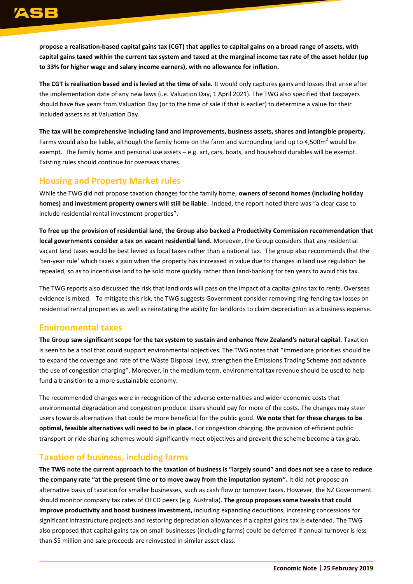**propose a realisation-based capital gains tax (CGT) that applies to capital gains on a broad range of assets, with capital gains taxed within the current tax system and taxed at the marginal income tax rate of the asset holder (up to 33% for higher wage and salary income earners), with no allowance for inflation.** 

**The CGT is realisation based and is levied at the time of sale.** It would only captures gains and losses that arise after the implementation date of any new laws (i.e. Valuation Day, 1 April 2021). The TWG also specified that taxpayers should have five years from Valuation Day (or to the time of sale if that is earlier) to determine a value for their included assets as at Valuation Day.

**The tax will be comprehensive including land and improvements, business assets, shares and intangible property.** Farms would also be liable, although the family home on the farm and surrounding land up to 4,500 $m<sup>2</sup>$  would be exempt. The family home and personal use assets  $-e.g.$  art, cars, boats, and household durables will be exempt. Existing rules should continue for overseas shares.

### **Housing and Property Market rules**

While the TWG did not propose taxation changes for the family home, **owners of second homes (including holiday homes) and investment property owners will still be liable**. Indeed, the report noted there was "a clear case to include residential rental investment properties".

**To free up the provision of residential land, the Group also backed a Productivity Commission recommendation that local governments consider a tax on vacant residential land.** Moreover, the Group considers that any residential vacant land taxes would be best levied as local taxes rather than a national tax. The group also recommends that the 'ten-year rule' which taxes a gain when the property has increased in value due to changes in land use regulation be repealed, so as to incentivise land to be sold more quickly rather than land-banking for ten years to avoid this tax.

The TWG reports also discussed the risk that landlords will pass on the impact of a capital gains tax to rents. Overseas evidence is mixed. To mitigate this risk, the TWG suggests Government consider removing ring-fencing tax losses on residential rental properties as well as reinstating the ability for landlords to claim depreciation as a business expense.

#### **Environmental taxes**

**The Group saw significant scope for the tax system to sustain and enhance New Zealand's natural capital.** Taxation is seen to be a tool that could support environmental objectives. The TWG notes that "immediate priorities should be to expand the coverage and rate of the Waste Disposal Levy, strengthen the Emissions Trading Scheme and advance the use of congestion charging". Moreover, in the medium term, environmental tax revenue should be used to help fund a transition to a more sustainable economy.

The recommended changes were in recognition of the adverse externalities and wider economic costs that environmental degradation and congestion produce. Users should pay for more of the costs. The changes may steer users towards alternatives that could be more beneficial for the public good. **We note that for these charges to be optimal, feasible alternatives will need to be in place.** For congestion charging, the provision of efficient public transport or ride-sharing schemes would significantly meet objectives and prevent the scheme become a tax grab.

## **Taxation of business, including farms**

**The TWG note the current approach to the taxation of business is "largely sound" and does not see a case to reduce the company rate "at the present time or to move away from the imputation system".** It did not propose an alternative basis of taxation for smaller businesses, such as cash flow or turnover taxes. However, the NZ Government should monitor company tax rates of OECD peers (e.g. Australia). **The group proposes some tweaks that could improve productivity and boost business investment,** including expanding deductions, increasing concessions for significant infrastructure projects and restoring depreciation allowances if a capital gains tax is extended. The TWG also proposed that capital gains tax on small businesses (including farms) could be deferred if annual turnover is less than \$5 million and sale proceeds are reinvested in similar asset class.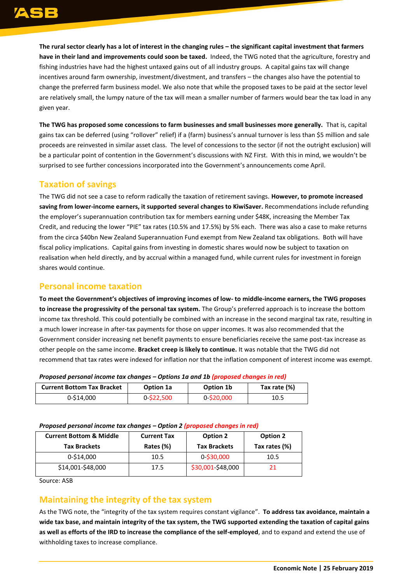**The rural sector clearly has a lot of interest in the changing rules – the significant capital investment that farmers have in their land and improvements could soon be taxed.** Indeed, the TWG noted that the agriculture, forestry and fishing industries have had the highest untaxed gains out of all industry groups. A capital gains tax will change incentives around farm ownership, investment/divestment, and transfers – the changes also have the potential to change the preferred farm business model. We also note that while the proposed taxes to be paid at the sector level are relatively small, the lumpy nature of the tax will mean a smaller number of farmers would bear the tax load in any given year.

**The TWG has proposed some concessions to farm businesses and small businesses more generally.** That is, capital gains tax can be deferred (using "rollover" relief) if a (farm) business's annual turnover is less than \$5 million and sale proceeds are reinvested in similar asset class. The level of concessions to the sector (if not the outright exclusion) will be a particular point of contention in the Government's discussions with NZ First. With this in mind, we wouldn't be surprised to see further concessions incorporated into the Government's announcements come April.

### **Taxation of savings**

The TWG did not see a case to reform radically the taxation of retirement savings. **However, to promote increased saving from lower-income earners, it supported several changes to KiwiSaver.** Recommendations include refunding the employer's superannuation contribution tax for members earning under \$48K, increasing the Member Tax Credit, and reducing the lower "PIE" tax rates (10.5% and 17.5%) by 5% each.There was also a case to make returns from the circa \$40bn New Zealand Superannuation Fund exempt from New Zealand tax obligations. Both will have fiscal policy implications. Capital gains from investing in domestic shares would now be subject to taxation on realisation when held directly, and by accrual within a managed fund, while current rules for investment in foreign shares would continue.

#### **Personal income taxation**

**To meet the Government's objectives of improving incomes of low- to middle-income earners, the TWG proposes to increase the progressivity of the personal tax system.** The Group's preferred approach is to increase the bottom income tax threshold. This could potentially be combined with an increase in the second marginal tax rate, resulting in a much lower increase in after-tax payments for those on upper incomes. It was also recommended that the Government consider increasing net benefit payments to ensure beneficiaries receive the same post-tax increase as other people on the same income. **Bracket creep is likely to continue.** It was notable that the TWG did not recommend that tax rates were indexed for inflation nor that the inflation component of interest income was exempt.

| <b>Current Bottom Tax Bracket</b> | Option 1a     | Option 1b  | Tax rate (%) |  |  |  |
|-----------------------------------|---------------|------------|--------------|--|--|--|
| 0-\$14,000                        | $0 - $22,500$ | 0-\$20,000 | 10.5         |  |  |  |

*Proposed personal income tax changes – Options 1a and 1b (proposed changes in red)*

#### *Proposed personal income tax changes – Option 2 (proposed changes in red)*

| <b>Current Bottom &amp; Middle</b><br><b>Tax Brackets</b> | <b>Current Tax</b><br>Rates (%) | <b>Option 2</b><br><b>Tax Brackets</b> | <b>Option 2</b><br>Tax rates (%) |
|-----------------------------------------------------------|---------------------------------|----------------------------------------|----------------------------------|
| 0-\$14.000                                                | 10.5                            | $0 - $30,000$                          | 10.5                             |
| \$14,001-\$48,000                                         | 17.5                            | \$30,001-\$48,000                      | 21                               |

Source: ASB

#### **Maintaining the integrity of the tax system**

As the TWG note, the "integrity of the tax system requires constant vigilance". **To address tax avoidance, maintain a wide tax base, and maintain integrity of the tax system, the TWG supported extending the taxation of capital gains as well as efforts of the IRD to increase the compliance of the self-employed**, and to expand and extend the use of withholding taxes to increase compliance.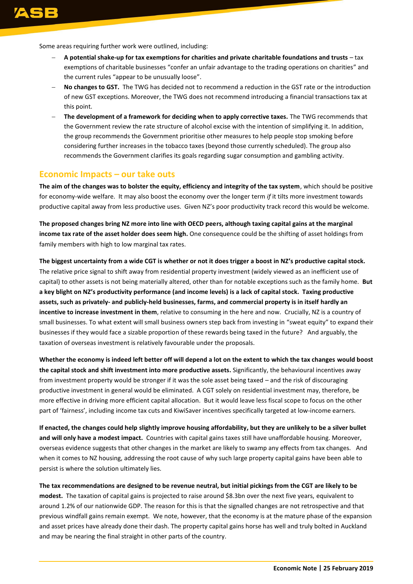Some areas requiring further work were outlined, including:

- **A potential shake-up for tax exemptions for charities and private charitable foundations and trusts** tax exemptions of charitable businesses "confer an unfair advantage to the trading operations on charities" and the current rules "appear to be unusually loose".
- **No changes to GST.** The TWG has decided not to recommend a reduction in the GST rate or the introduction of new GST exceptions. Moreover, the TWG does not recommend introducing a financial transactions tax at this point.
- **The development of a framework for deciding when to apply corrective taxes.** The TWG recommends that the Government review the rate structure of alcohol excise with the intention of simplifying it. In addition, the group recommends the Government prioritise other measures to help people stop smoking before considering further increases in the tobacco taxes (beyond those currently scheduled). The group also recommends the Government clarifies its goals regarding sugar consumption and gambling activity.

#### **Economic Impacts – our take outs**

**The aim of the changes was to bolster the equity, efficiency and integrity of the tax system**, which should be positive for economy-wide welfare. It may also boost the economy over the longer term *if* it tilts more investment towards productive capital away from less productive uses. Given NZ's poor productivity track record this would be welcome.

**The proposed changes bring NZ more into line with OECD peers, although taxing capital gains at the marginal income tax rate of the asset holder does seem high.** One consequence could be the shifting of asset holdings from family members with high to low marginal tax rates.

**The biggest uncertainty from a wide CGT is whether or not it does trigger a boost in NZ's productive capital stock.** The relative price signal to shift away from residential property investment (widely viewed as an inefficient use of capital) to other assets is not being materially altered, other than for notable exceptions such as the family home. **But a key blight on NZ's productivity performance (and income levels) is a lack of capital stock. Taxing productive assets, such as privately- and publicly-held businesses, farms, and commercial property is in itself hardly an incentive to increase investment in them**, relative to consuming in the here and now. Crucially, NZ is a country of small businesses. To what extent will small business owners step back from investing in "sweat equity" to expand their businesses if they would face a sizable proportion of these rewards being taxed in the future? And arguably, the taxation of overseas investment is relatively favourable under the proposals.

**Whether the economy is indeed left better off will depend a lot on the extent to which the tax changes would boost the capital stock and shift investment into more productive assets.** Significantly, the behavioural incentives away from investment property would be stronger if it was the sole asset being taxed – and the risk of discouraging productive investment in general would be eliminated. A CGT solely on residential investment may, therefore, be more effective in driving more efficient capital allocation. But it would leave less fiscal scope to focus on the other part of 'fairness', including income tax cuts and KiwiSaver incentives specifically targeted at low-income earners.

**If enacted, the changes could help slightly improve housing affordability, but they are unlikely to be a silver bullet and will only have a modest impact.** Countries with capital gains taxes still have unaffordable housing. Moreover, overseas evidence suggests that other changes in the market are likely to swamp any effects from tax changes. And when it comes to NZ housing, addressing the root cause of why such large property capital gains have been able to persist is where the solution ultimately lies.

**The tax recommendations are designed to be revenue neutral, but initial pickings from the CGT are likely to be modest.** The taxation of capital gains is projected to raise around \$8.3bn over the next five years, equivalent to around 1.2% of our nationwide GDP. The reason for this is that the signalled changes are not retrospective and that previous windfall gains remain exempt. We note, however, that the economy is at the mature phase of the expansion and asset prices have already done their dash. The property capital gains horse has well and truly bolted in Auckland and may be nearing the final straight in other parts of the country.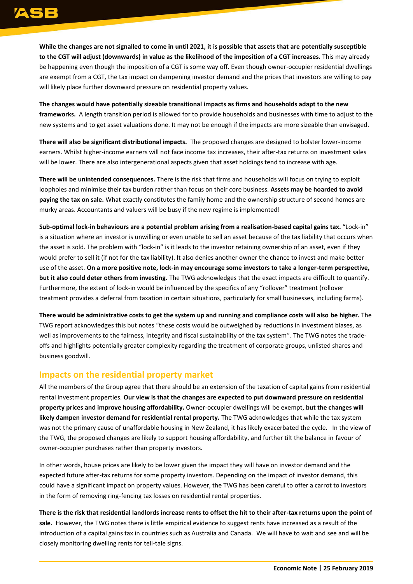**While the changes are not signalled to come in until 2021, it is possible that assets that are potentially susceptible to the CGT will adjust (downwards) in value as the likelihood of the imposition of a CGT increases.** This may already be happening even though the imposition of a CGT is some way off. Even though owner-occupier residential dwellings are exempt from a CGT, the tax impact on dampening investor demand and the prices that investors are willing to pay will likely place further downward pressure on residential property values.

**The changes would have potentially sizeable transitional impacts as firms and households adapt to the new frameworks.** A length transition period is allowed for to provide households and businesses with time to adjust to the new systems and to get asset valuations done. It may not be enough if the impacts are more sizeable than envisaged.

**There will also be significant distributional impacts.** The proposed changes are designed to bolster lower-income earners. Whilst higher-income earners will not face income tax increases, their after-tax returns on investment sales will be lower. There are also intergenerational aspects given that asset holdings tend to increase with age.

**There will be unintended consequences.** There is the risk that firms and households will focus on trying to exploit loopholes and minimise their tax burden rather than focus on their core business. **Assets may be hoarded to avoid paying the tax on sale.** What exactly constitutes the family home and the ownership structure of second homes are murky areas. Accountants and valuers will be busy if the new regime is implemented!

**Sub-optimal lock-in behaviours are a potential problem arising from a realisation-based capital gains tax.** "Lock-in" is a situation where an investor is unwilling or even unable to sell an asset because of the tax liability that occurs when the asset is sold. The problem with "lock-in" is it leads to the investor retaining ownership of an asset, even if they would prefer to sell it (if not for the tax liability). It also denies another owner the chance to invest and make better use of the asset. **On a more positive note, lock-in may encourage some investors to take a longer-term perspective, but it also could deter others from investing.** The TWG acknowledges that the exact impacts are difficult to quantify. Furthermore, the extent of lock-in would be influenced by the specifics of any "rollover" treatment (rollover treatment provides a deferral from taxation in certain situations, particularly for small businesses, including farms).

**There would be administrative costs to get the system up and running and compliance costs will also be higher.** The TWG report acknowledges this but notes "these costs would be outweighed by reductions in investment biases, as well as improvements to the fairness, integrity and fiscal sustainability of the tax system". The TWG notes the tradeoffs and highlights potentially greater complexity regarding the treatment of corporate groups, unlisted shares and business goodwill.

#### **Impacts on the residential property market**

All the members of the Group agree that there should be an extension of the taxation of capital gains from residential rental investment properties. **Our view is that the changes are expected to put downward pressure on residential property prices and improve housing affordability.** Owner-occupier dwellings will be exempt, **but the changes will likely dampen investor demand for residential rental property.** The TWG acknowledges that while the tax system was not the primary cause of unaffordable housing in New Zealand, it has likely exacerbated the cycle. In the view of the TWG, the proposed changes are likely to support housing affordability, and further tilt the balance in favour of owner-occupier purchases rather than property investors.

In other words, house prices are likely to be lower given the impact they will have on investor demand and the expected future after-tax returns for some property investors. Depending on the impact of investor demand, this could have a significant impact on property values. However, the TWG has been careful to offer a carrot to investors in the form of removing ring-fencing tax losses on residential rental properties.

**There is the risk that residential landlords increase rents to offset the hit to their after-tax returns upon the point of sale.** However, the TWG notes there is little empirical evidence to suggest rents have increased as a result of the introduction of a capital gains tax in countries such as Australia and Canada. We will have to wait and see and will be closely monitoring dwelling rents for tell-tale signs.